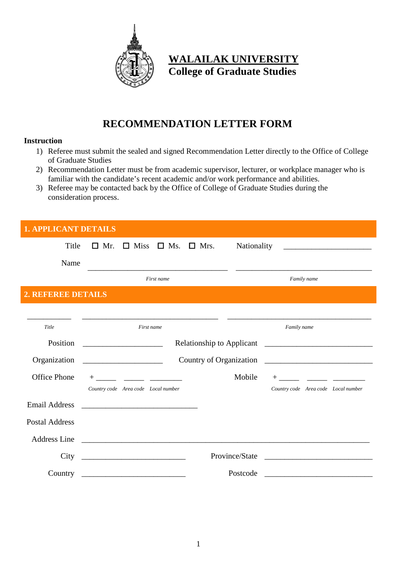

## **WALAILAK UNIVERSITY College of Graduate Studies**

## **RECOMMENDATION LETTER FORM**

## **Instruction**

- 1) Referee must submit the sealed and signed Recommendation Letter directly to the Office of College of Graduate Studies
- 2) Recommendation Letter must be from academic supervisor, lecturer, or workplace manager who is familiar with the candidate's recent academic and/or work performance and abilities.
- 3) Referee may be contacted back by the Office of College of Graduate Studies during the consideration process.

| <b>1. APPLICANT DETAILS</b> |                                                                       |                                                         |  |  |
|-----------------------------|-----------------------------------------------------------------------|---------------------------------------------------------|--|--|
| Title                       | $\Box$ Miss $\Box$ Ms. $\Box$ Mrs.<br>$\Box$ Mr.                      | Nationality                                             |  |  |
| Name                        |                                                                       |                                                         |  |  |
|                             | First name                                                            | Family name                                             |  |  |
| 2. REFEREE DETAILS          |                                                                       |                                                         |  |  |
|                             |                                                                       |                                                         |  |  |
| Title                       | First name                                                            | Family name                                             |  |  |
| Position                    | Relationship to Applicant                                             | <u> 1989 - Johann Barbara, martin amerikan basal da</u> |  |  |
| Organization                | Country of Organization                                               |                                                         |  |  |
| <b>Office Phone</b>         | $^{+}$                                                                | Mobile<br>$+$                                           |  |  |
|                             | Country code Area code Local number                                   | Country code Area code Local number                     |  |  |
| <b>Email Address</b>        |                                                                       |                                                         |  |  |
| <b>Postal Address</b>       |                                                                       |                                                         |  |  |
| <b>Address Line</b>         |                                                                       |                                                         |  |  |
| City                        | <u> 1989 - Johann Harry Barn, mars ar breist fan de Fryske kampen</u> | Province/State                                          |  |  |
| Country                     |                                                                       | Postcode                                                |  |  |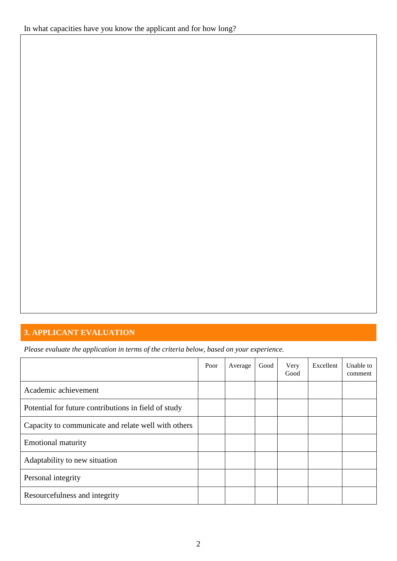## **3. APPLICANT EVALUATION**

*Please evaluate the application in terms of the criteria below, based on your experience.*

|                                                      | Poor | Average | Good | Very<br>Good | Excellent | Unable to<br>comment |
|------------------------------------------------------|------|---------|------|--------------|-----------|----------------------|
| Academic achievement                                 |      |         |      |              |           |                      |
| Potential for future contributions in field of study |      |         |      |              |           |                      |
| Capacity to communicate and relate well with others  |      |         |      |              |           |                      |
| <b>Emotional maturity</b>                            |      |         |      |              |           |                      |
| Adaptability to new situation                        |      |         |      |              |           |                      |
| Personal integrity                                   |      |         |      |              |           |                      |
| Resourcefulness and integrity                        |      |         |      |              |           |                      |